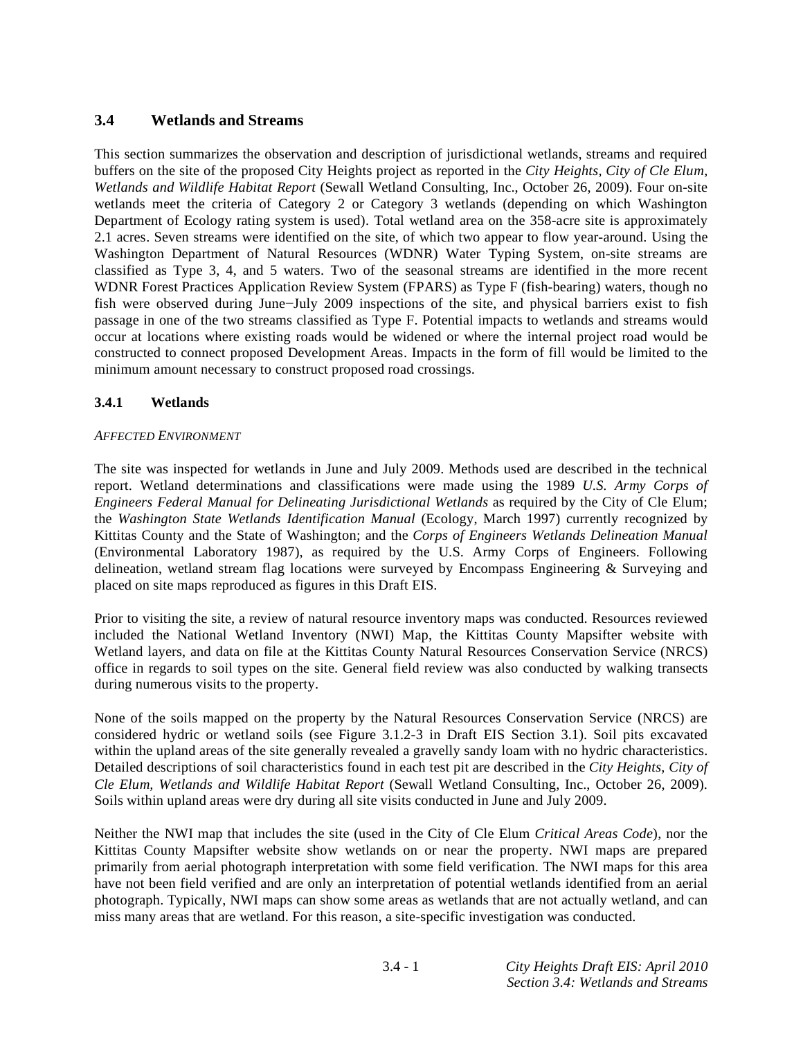# **3.4 Wetlands and Streams**

This section summarizes the observation and description of jurisdictional wetlands, streams and required buffers on the site of the proposed City Heights project as reported in the *City Heights, City of Cle Elum, Wetlands and Wildlife Habitat Report* (Sewall Wetland Consulting, Inc., October 26, 2009). Four on-site wetlands meet the criteria of Category 2 or Category 3 wetlands (depending on which Washington Department of Ecology rating system is used). Total wetland area on the 358-acre site is approximately 2.1 acres. Seven streams were identified on the site, of which two appear to flow year-around. Using the Washington Department of Natural Resources (WDNR) Water Typing System, on-site streams are classified as Type 3, 4, and 5 waters. Two of the seasonal streams are identified in the more recent WDNR Forest Practices Application Review System (FPARS) as Type F (fish-bearing) waters, though no fish were observed during June-July 2009 inspections of the site, and physical barriers exist to fish passage in one of the two streams classified as Type F. Potential impacts to wetlands and streams would occur at locations where existing roads would be widened or where the internal project road would be constructed to connect proposed Development Areas. Impacts in the form of fill would be limited to the minimum amount necessary to construct proposed road crossings.

## **3.4.1 Wetlands**

### *AFFECTED ENVIRONMENT*

The site was inspected for wetlands in June and July 2009. Methods used are described in the technical report. Wetland determinations and classifications were made using the 1989 *U.S. Army Corps of Engineers Federal Manual for Delineating Jurisdictional Wetlands* as required by the City of Cle Elum; the *Washington State Wetlands Identification Manual* (Ecology, March 1997) currently recognized by Kittitas County and the State of Washington; and the *Corps of Engineers Wetlands Delineation Manual*  (Environmental Laboratory 1987), as required by the U.S. Army Corps of Engineers. Following delineation, wetland stream flag locations were surveyed by Encompass Engineering & Surveying and placed on site maps reproduced as figures in this Draft EIS.

Prior to visiting the site, a review of natural resource inventory maps was conducted. Resources reviewed included the National Wetland Inventory (NWI) Map, the Kittitas County Mapsifter website with Wetland layers, and data on file at the Kittitas County Natural Resources Conservation Service (NRCS) office in regards to soil types on the site. General field review was also conducted by walking transects during numerous visits to the property.

None of the soils mapped on the property by the Natural Resources Conservation Service (NRCS) are considered hydric or wetland soils (see Figure 3.1.2-3 in Draft EIS Section 3.1). Soil pits excavated within the upland areas of the site generally revealed a gravelly sandy loam with no hydric characteristics. Detailed descriptions of soil characteristics found in each test pit are described in the *City Heights, City of Cle Elum, Wetlands and Wildlife Habitat Report* (Sewall Wetland Consulting, Inc., October 26, 2009). Soils within upland areas were dry during all site visits conducted in June and July 2009.

Neither the NWI map that includes the site (used in the City of Cle Elum *Critical Areas Code*), nor the Kittitas County Mapsifter website show wetlands on or near the property. NWI maps are prepared primarily from aerial photograph interpretation with some field verification. The NWI maps for this area have not been field verified and are only an interpretation of potential wetlands identified from an aerial photograph. Typically, NWI maps can show some areas as wetlands that are not actually wetland, and can miss many areas that are wetland. For this reason, a site-specific investigation was conducted.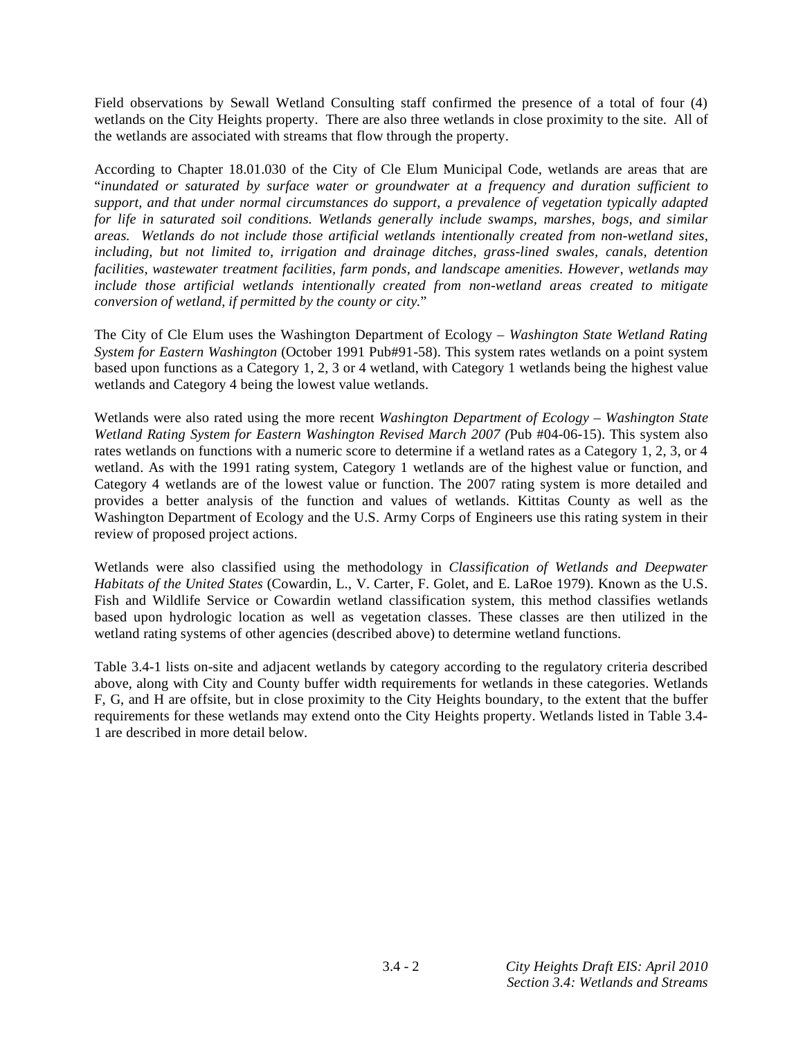Field observations by Sewall Wetland Consulting staff confirmed the presence of a total of four (4) wetlands on the City Heights property. There are also three wetlands in close proximity to the site. All of the wetlands are associated with streams that flow through the property.

According to Chapter 18.01.030 of the City of Cle Elum Municipal Code, wetlands are areas that are "*inundated or saturated by surface water or groundwater at a frequency and duration sufficient to support, and that under normal circumstances do support, a prevalence of vegetation typically adapted for life in saturated soil conditions. Wetlands generally include swamps, marshes, bogs, and similar areas. Wetlands do not include those artificial wetlands intentionally created from non-wetland sites, including, but not limited to, irrigation and drainage ditches, grass-lined swales, canals, detention facilities, wastewater treatment facilities, farm ponds, and landscape amenities. However, wetlands may include those artificial wetlands intentionally created from non-wetland areas created to mitigate conversion of wetland, if permitted by the county or city.*"

The City of Cle Elum uses the Washington Department of Ecology – *Washington State Wetland Rating System for Eastern Washington* (October 1991 Pub#91-58). This system rates wetlands on a point system based upon functions as a Category 1, 2, 3 or 4 wetland, with Category 1 wetlands being the highest value wetlands and Category 4 being the lowest value wetlands.

Wetlands were also rated using the more recent *Washington Department of Ecology – Washington State Wetland Rating System for Eastern Washington Revised March 2007 (*Pub #04-06-15). This system also rates wetlands on functions with a numeric score to determine if a wetland rates as a Category 1, 2, 3, or 4 wetland. As with the 1991 rating system, Category 1 wetlands are of the highest value or function, and Category 4 wetlands are of the lowest value or function. The 2007 rating system is more detailed and provides a better analysis of the function and values of wetlands. Kittitas County as well as the Washington Department of Ecology and the U.S. Army Corps of Engineers use this rating system in their review of proposed project actions.

Wetlands were also classified using the methodology in *Classification of Wetlands and Deepwater Habitats of the United States* (Cowardin, L., V. Carter, F. Golet, and E. LaRoe 1979). Known as the U.S. Fish and Wildlife Service or Cowardin wetland classification system, this method classifies wetlands based upon hydrologic location as well as vegetation classes. These classes are then utilized in the wetland rating systems of other agencies (described above) to determine wetland functions.

Table 3.4-1 lists on-site and adjacent wetlands by category according to the regulatory criteria described above, along with City and County buffer width requirements for wetlands in these categories. Wetlands F, G, and H are offsite, but in close proximity to the City Heights boundary, to the extent that the buffer requirements for these wetlands may extend onto the City Heights property. Wetlands listed in Table 3.4- 1 are described in more detail below.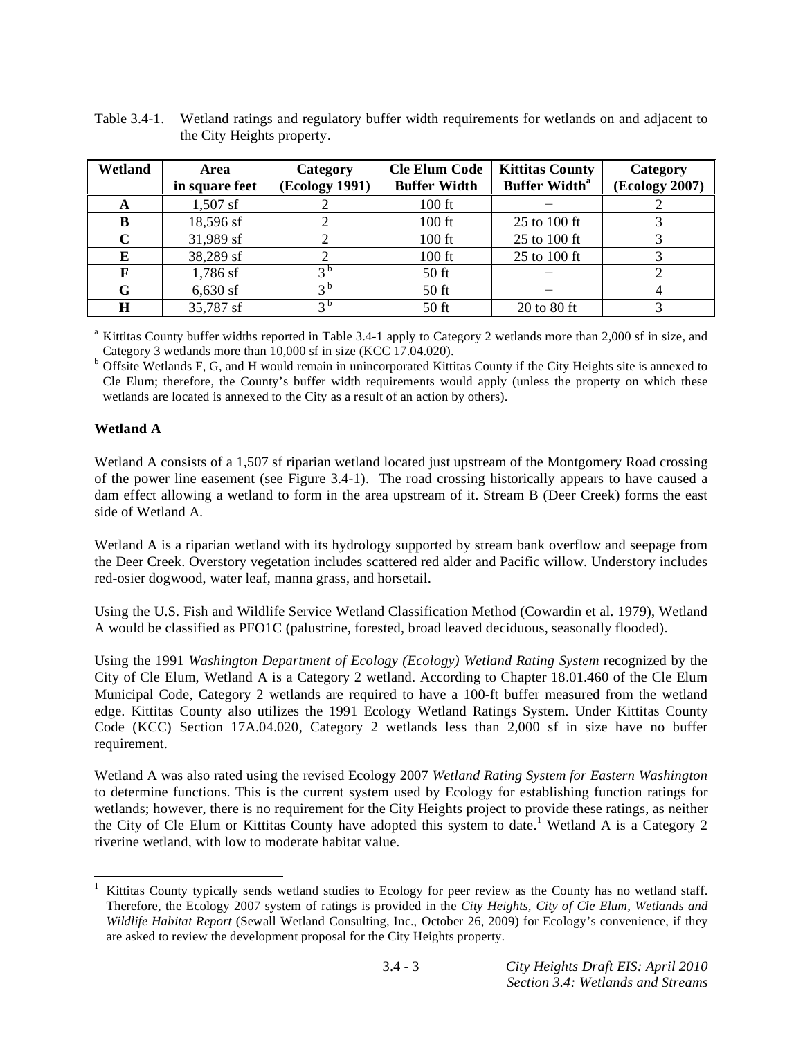| Wetland | Area<br>in square feet | Category<br><b>(Ecology 1991)</b> | <b>Cle Elum Code</b><br><b>Buffer Width</b> | <b>Kittitas County</b><br><b>Buffer Width<sup>a</sup></b> | Category<br>(Ecology 2007) |
|---------|------------------------|-----------------------------------|---------------------------------------------|-----------------------------------------------------------|----------------------------|
| A       | $1,507$ sf             |                                   | $100$ ft                                    |                                                           |                            |
| B       | 18,596 sf              |                                   | $100$ ft                                    | 25 to 100 ft                                              |                            |
| C       | 31,989 sf              |                                   | $100$ ft                                    | 25 to 100 ft                                              |                            |
| E       | 38,289 sf              |                                   | $100$ ft                                    | 25 to 100 ft                                              |                            |
|         | 1,786 sf               | $\gamma$ b                        | $50$ ft                                     |                                                           |                            |
| G       | $6,630$ sf             | 2 <sup>b</sup>                    | $50$ ft                                     |                                                           |                            |
| Н       | 35,787 sf              | 3 <sup>b</sup>                    | $50$ ft                                     | 20 to 80 ft                                               |                            |

Table 3.4-1. Wetland ratings and regulatory buffer width requirements for wetlands on and adjacent to the City Heights property.

<sup>a</sup> Kittitas County buffer widths reported in Table 3.4-1 apply to Category 2 wetlands more than 2,000 sf in size, and Category 3 wetlands more than 10,000 sf in size (KCC 17.04.020).

<sup>b</sup> Offsite Wetlands F, G, and H would remain in unincorporated Kittitas County if the City Heights site is annexed to Cle Elum; therefore, the County's buffer width requirements would apply (unless the property on which these wetlands are located is annexed to the City as a result of an action by others).

## **Wetland A**

l

Wetland A consists of a 1,507 sf riparian wetland located just upstream of the Montgomery Road crossing of the power line easement (see Figure 3.4-1). The road crossing historically appears to have caused a dam effect allowing a wetland to form in the area upstream of it. Stream B (Deer Creek) forms the east side of Wetland A.

Wetland A is a riparian wetland with its hydrology supported by stream bank overflow and seepage from the Deer Creek. Overstory vegetation includes scattered red alder and Pacific willow. Understory includes red-osier dogwood, water leaf, manna grass, and horsetail.

Using the U.S. Fish and Wildlife Service Wetland Classification Method (Cowardin et al. 1979), Wetland A would be classified as PFO1C (palustrine, forested, broad leaved deciduous, seasonally flooded).

Using the 1991 *Washington Department of Ecology (Ecology) Wetland Rating System* recognized by the City of Cle Elum, Wetland A is a Category 2 wetland. According to Chapter 18.01.460 of the Cle Elum Municipal Code, Category 2 wetlands are required to have a 100-ft buffer measured from the wetland edge. Kittitas County also utilizes the 1991 Ecology Wetland Ratings System. Under Kittitas County Code (KCC) Section 17A.04.020, Category 2 wetlands less than 2,000 sf in size have no buffer requirement.

Wetland A was also rated using the revised Ecology 2007 *Wetland Rating System for Eastern Washington* to determine functions. This is the current system used by Ecology for establishing function ratings for wetlands; however, there is no requirement for the City Heights project to provide these ratings, as neither the City of Cle Elum or Kittitas County have adopted this system to date.<sup>1</sup> Wetland A is a Category 2 riverine wetland, with low to moderate habitat value.

<sup>1</sup> Kittitas County typically sends wetland studies to Ecology for peer review as the County has no wetland staff. Therefore, the Ecology 2007 system of ratings is provided in the *City Heights, City of Cle Elum, Wetlands and Wildlife Habitat Report* (Sewall Wetland Consulting, Inc., October 26, 2009) for Ecology's convenience, if they are asked to review the development proposal for the City Heights property.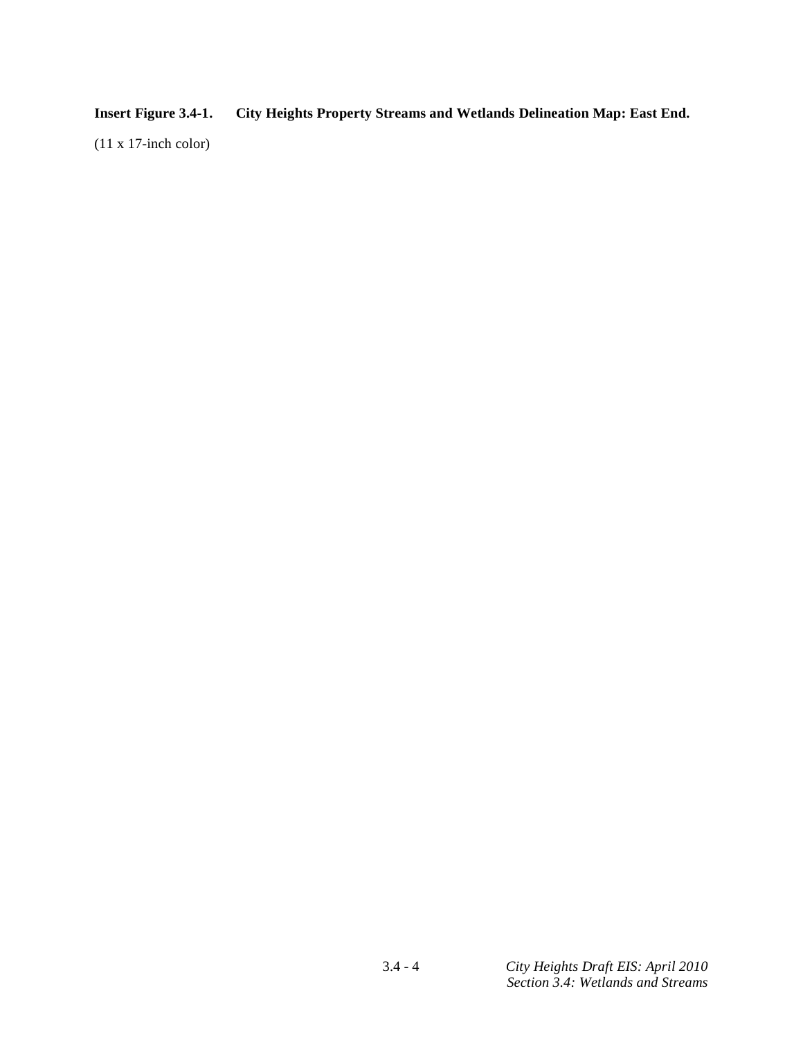**Insert Figure 3.4-1. City Heights Property Streams and Wetlands Delineation Map: East End.**

(11 x 17-inch color)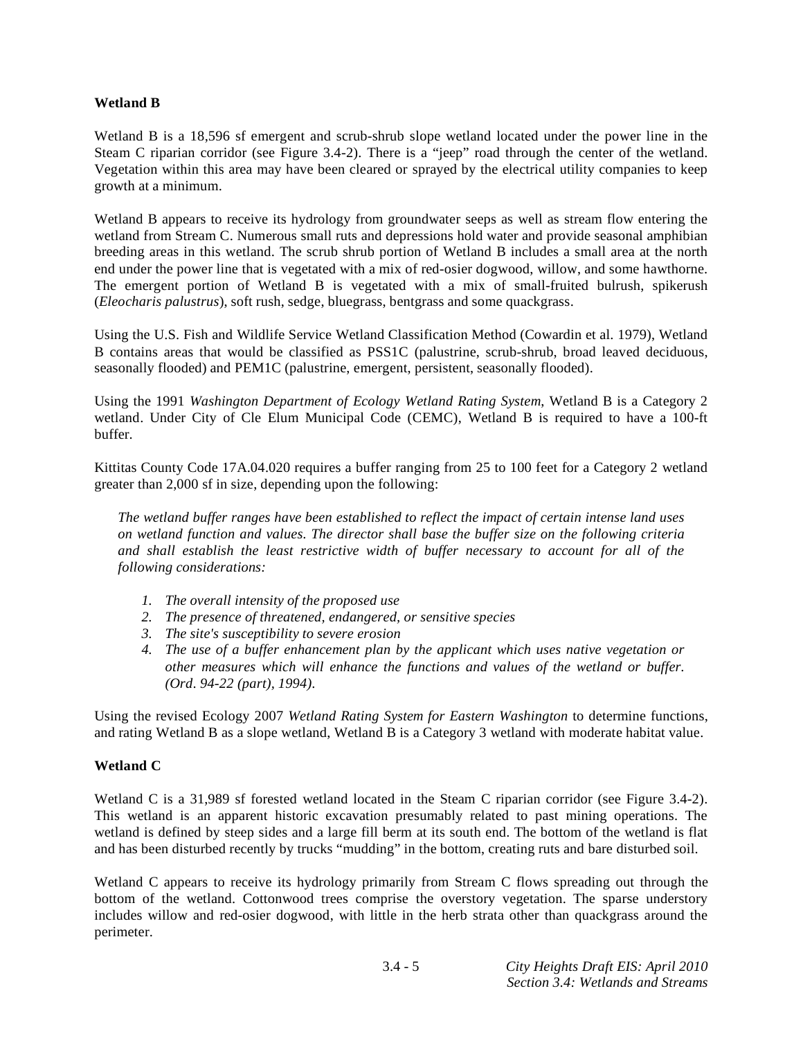## **Wetland B**

Wetland B is a 18,596 sf emergent and scrub-shrub slope wetland located under the power line in the Steam C riparian corridor (see Figure 3.4-2). There is a "jeep" road through the center of the wetland. Vegetation within this area may have been cleared or sprayed by the electrical utility companies to keep growth at a minimum.

Wetland B appears to receive its hydrology from groundwater seeps as well as stream flow entering the wetland from Stream C. Numerous small ruts and depressions hold water and provide seasonal amphibian breeding areas in this wetland. The scrub shrub portion of Wetland B includes a small area at the north end under the power line that is vegetated with a mix of red-osier dogwood, willow, and some hawthorne. The emergent portion of Wetland B is vegetated with a mix of small-fruited bulrush, spikerush (*Eleocharis palustrus*), soft rush, sedge, bluegrass, bentgrass and some quackgrass.

Using the U.S. Fish and Wildlife Service Wetland Classification Method (Cowardin et al. 1979), Wetland B contains areas that would be classified as PSS1C (palustrine, scrub-shrub, broad leaved deciduous, seasonally flooded) and PEM1C (palustrine, emergent, persistent, seasonally flooded).

Using the 1991 *Washington Department of Ecology Wetland Rating System*, Wetland B is a Category 2 wetland. Under City of Cle Elum Municipal Code (CEMC), Wetland B is required to have a 100-ft buffer.

Kittitas County Code 17A.04.020 requires a buffer ranging from 25 to 100 feet for a Category 2 wetland greater than 2,000 sf in size, depending upon the following:

*The wetland buffer ranges have been established to reflect the impact of certain intense land uses on wetland function and values. The director shall base the buffer size on the following criteria and shall establish the least restrictive width of buffer necessary to account for all of the following considerations:* 

- *1. The overall intensity of the proposed use*
- *2. The presence of threatened, endangered, or sensitive species*
- *3. The site's susceptibility to severe erosion*
- *4. The use of a buffer enhancement plan by the applicant which uses native vegetation or other measures which will enhance the functions and values of the wetland or buffer. (Ord. 94-22 (part), 1994).*

Using the revised Ecology 2007 *Wetland Rating System for Eastern Washington* to determine functions, and rating Wetland B as a slope wetland, Wetland B is a Category 3 wetland with moderate habitat value.

### **Wetland C**

Wetland C is a 31,989 sf forested wetland located in the Steam C riparian corridor (see Figure 3.4-2). This wetland is an apparent historic excavation presumably related to past mining operations. The wetland is defined by steep sides and a large fill berm at its south end. The bottom of the wetland is flat and has been disturbed recently by trucks "mudding" in the bottom, creating ruts and bare disturbed soil.

Wetland C appears to receive its hydrology primarily from Stream C flows spreading out through the bottom of the wetland. Cottonwood trees comprise the overstory vegetation. The sparse understory includes willow and red-osier dogwood, with little in the herb strata other than quackgrass around the perimeter.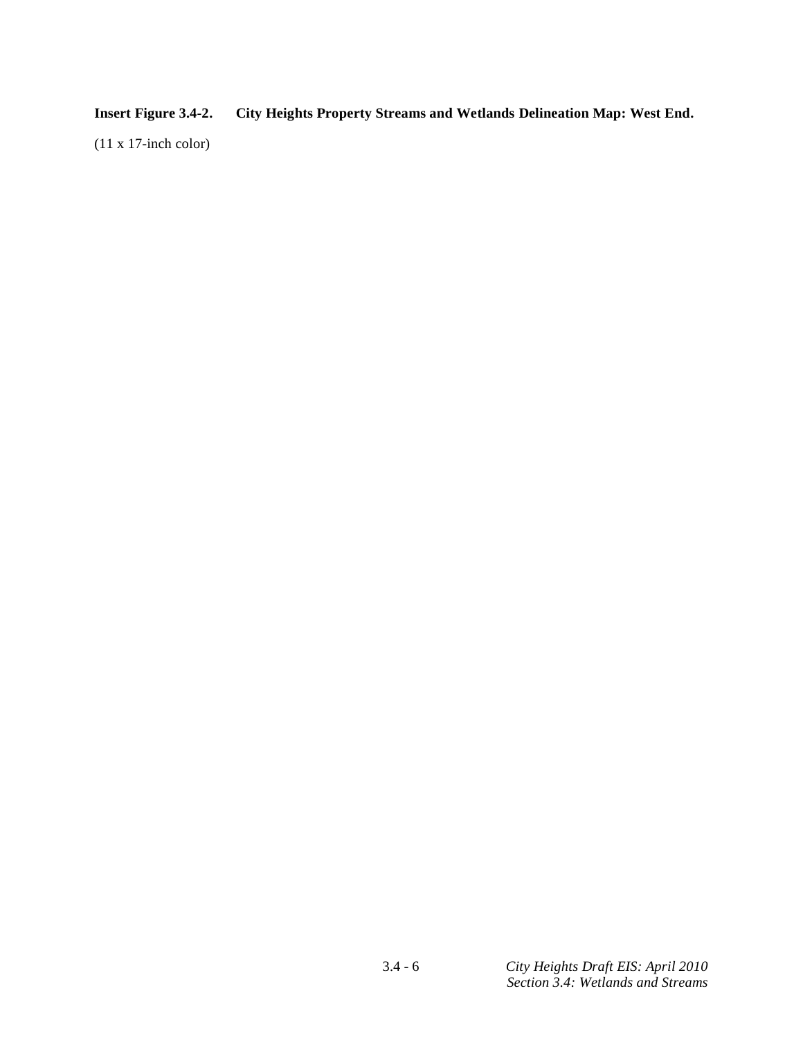**Insert Figure 3.4-2. City Heights Property Streams and Wetlands Delineation Map: West End.** 

(11 x 17-inch color)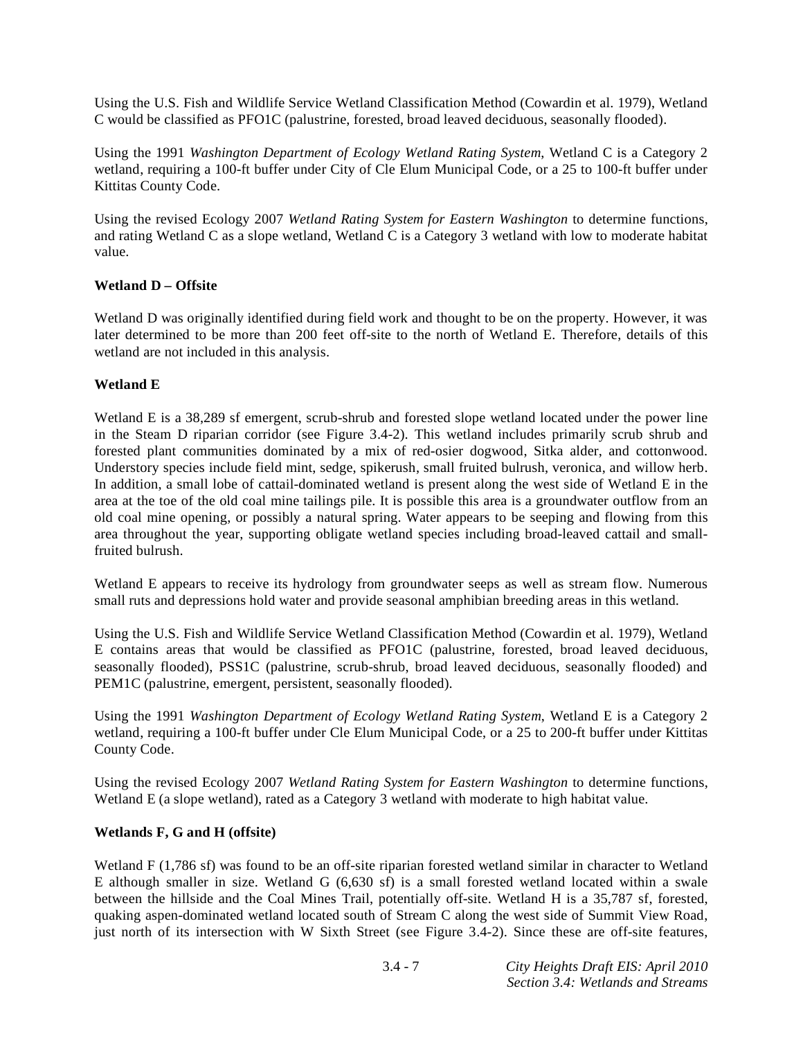Using the U.S. Fish and Wildlife Service Wetland Classification Method (Cowardin et al. 1979), Wetland C would be classified as PFO1C (palustrine, forested, broad leaved deciduous, seasonally flooded).

Using the 1991 *Washington Department of Ecology Wetland Rating System*, Wetland C is a Category 2 wetland, requiring a 100-ft buffer under City of Cle Elum Municipal Code, or a 25 to 100-ft buffer under Kittitas County Code.

Using the revised Ecology 2007 *Wetland Rating System for Eastern Washington* to determine functions, and rating Wetland C as a slope wetland, Wetland C is a Category 3 wetland with low to moderate habitat value.

# **Wetland D – Offsite**

Wetland D was originally identified during field work and thought to be on the property. However, it was later determined to be more than 200 feet off-site to the north of Wetland E. Therefore, details of this wetland are not included in this analysis.

# **Wetland E**

Wetland E is a 38,289 sf emergent, scrub-shrub and forested slope wetland located under the power line in the Steam D riparian corridor (see Figure 3.4-2). This wetland includes primarily scrub shrub and forested plant communities dominated by a mix of red-osier dogwood, Sitka alder, and cottonwood. Understory species include field mint, sedge, spikerush, small fruited bulrush, veronica, and willow herb. In addition, a small lobe of cattail-dominated wetland is present along the west side of Wetland E in the area at the toe of the old coal mine tailings pile. It is possible this area is a groundwater outflow from an old coal mine opening, or possibly a natural spring. Water appears to be seeping and flowing from this area throughout the year, supporting obligate wetland species including broad-leaved cattail and smallfruited bulrush.

Wetland E appears to receive its hydrology from groundwater seeps as well as stream flow. Numerous small ruts and depressions hold water and provide seasonal amphibian breeding areas in this wetland.

Using the U.S. Fish and Wildlife Service Wetland Classification Method (Cowardin et al. 1979), Wetland E contains areas that would be classified as PFO1C (palustrine, forested, broad leaved deciduous, seasonally flooded), PSS1C (palustrine, scrub-shrub, broad leaved deciduous, seasonally flooded) and PEM1C (palustrine, emergent, persistent, seasonally flooded).

Using the 1991 *Washington Department of Ecology Wetland Rating System*, Wetland E is a Category 2 wetland, requiring a 100-ft buffer under Cle Elum Municipal Code, or a 25 to 200-ft buffer under Kittitas County Code.

Using the revised Ecology 2007 *Wetland Rating System for Eastern Washington* to determine functions, Wetland E (a slope wetland), rated as a Category 3 wetland with moderate to high habitat value.

# **Wetlands F, G and H (offsite)**

Wetland F (1,786 sf) was found to be an off-site riparian forested wetland similar in character to Wetland E although smaller in size. Wetland G (6,630 sf) is a small forested wetland located within a swale between the hillside and the Coal Mines Trail, potentially off-site. Wetland H is a 35,787 sf, forested, quaking aspen-dominated wetland located south of Stream C along the west side of Summit View Road, just north of its intersection with W Sixth Street (see Figure 3.4-2). Since these are off-site features,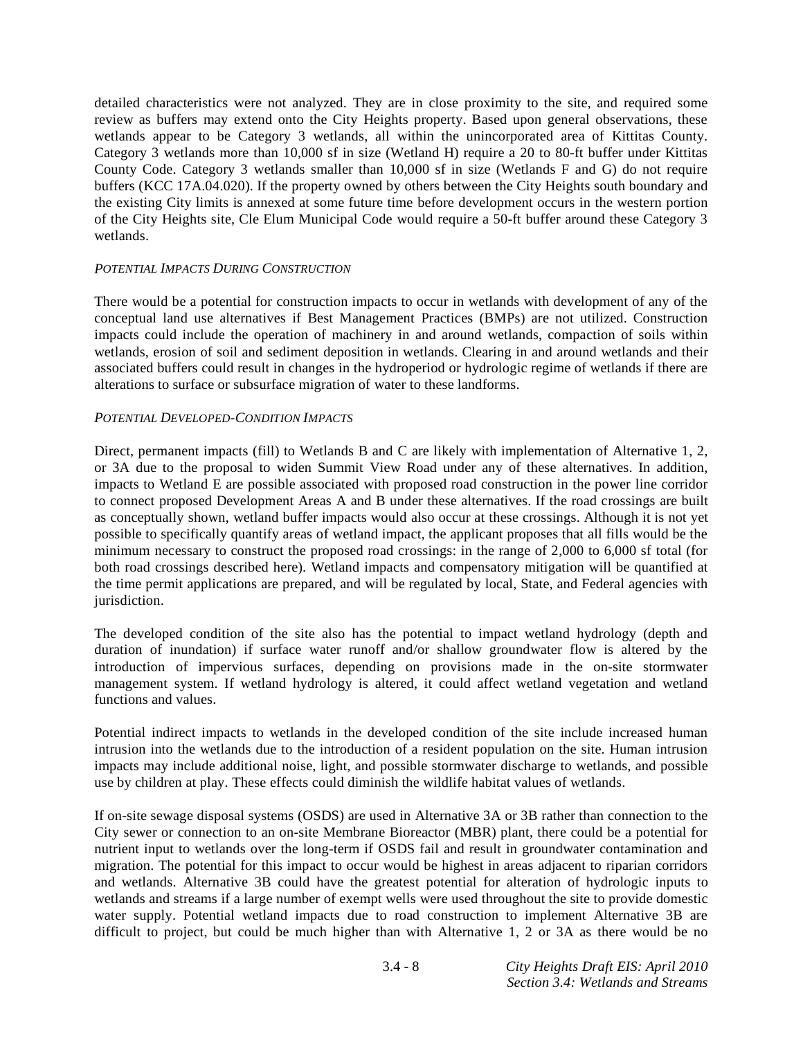detailed characteristics were not analyzed. They are in close proximity to the site, and required some review as buffers may extend onto the City Heights property. Based upon general observations, these wetlands appear to be Category 3 wetlands, all within the unincorporated area of Kittitas County. Category 3 wetlands more than 10,000 sf in size (Wetland H) require a 20 to 80-ft buffer under Kittitas County Code. Category 3 wetlands smaller than 10,000 sf in size (Wetlands F and G) do not require buffers (KCC 17A.04.020). If the property owned by others between the City Heights south boundary and the existing City limits is annexed at some future time before development occurs in the western portion of the City Heights site, Cle Elum Municipal Code would require a 50-ft buffer around these Category 3 wetlands.

### *POTENTIAL IMPACTS DURING CONSTRUCTION*

There would be a potential for construction impacts to occur in wetlands with development of any of the conceptual land use alternatives if Best Management Practices (BMPs) are not utilized. Construction impacts could include the operation of machinery in and around wetlands, compaction of soils within wetlands, erosion of soil and sediment deposition in wetlands. Clearing in and around wetlands and their associated buffers could result in changes in the hydroperiod or hydrologic regime of wetlands if there are alterations to surface or subsurface migration of water to these landforms.

### *POTENTIAL DEVELOPED-CONDITION IMPACTS*

Direct, permanent impacts (fill) to Wetlands B and C are likely with implementation of Alternative 1, 2, or 3A due to the proposal to widen Summit View Road under any of these alternatives. In addition, impacts to Wetland E are possible associated with proposed road construction in the power line corridor to connect proposed Development Areas A and B under these alternatives. If the road crossings are built as conceptually shown, wetland buffer impacts would also occur at these crossings. Although it is not yet possible to specifically quantify areas of wetland impact, the applicant proposes that all fills would be the minimum necessary to construct the proposed road crossings: in the range of 2,000 to 6,000 sf total (for both road crossings described here). Wetland impacts and compensatory mitigation will be quantified at the time permit applications are prepared, and will be regulated by local, State, and Federal agencies with jurisdiction.

The developed condition of the site also has the potential to impact wetland hydrology (depth and duration of inundation) if surface water runoff and/or shallow groundwater flow is altered by the introduction of impervious surfaces, depending on provisions made in the on-site stormwater management system. If wetland hydrology is altered, it could affect wetland vegetation and wetland functions and values.

Potential indirect impacts to wetlands in the developed condition of the site include increased human intrusion into the wetlands due to the introduction of a resident population on the site. Human intrusion impacts may include additional noise, light, and possible stormwater discharge to wetlands, and possible use by children at play. These effects could diminish the wildlife habitat values of wetlands.

If on-site sewage disposal systems (OSDS) are used in Alternative 3A or 3B rather than connection to the City sewer or connection to an on-site Membrane Bioreactor (MBR) plant, there could be a potential for nutrient input to wetlands over the long-term if OSDS fail and result in groundwater contamination and migration. The potential for this impact to occur would be highest in areas adjacent to riparian corridors and wetlands. Alternative 3B could have the greatest potential for alteration of hydrologic inputs to wetlands and streams if a large number of exempt wells were used throughout the site to provide domestic water supply. Potential wetland impacts due to road construction to implement Alternative 3B are difficult to project, but could be much higher than with Alternative 1, 2 or 3A as there would be no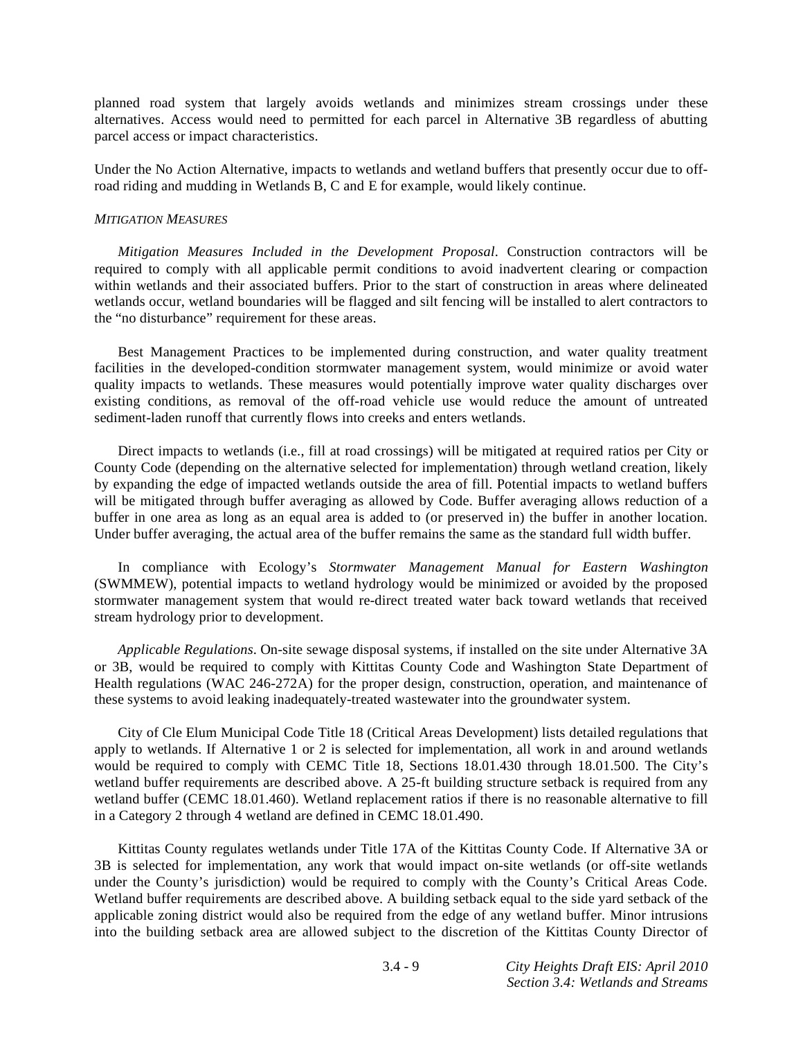planned road system that largely avoids wetlands and minimizes stream crossings under these alternatives. Access would need to permitted for each parcel in Alternative 3B regardless of abutting parcel access or impact characteristics.

Under the No Action Alternative, impacts to wetlands and wetland buffers that presently occur due to offroad riding and mudding in Wetlands B, C and E for example, would likely continue.

#### *MITIGATION MEASURES*

*Mitigation Measures Included in the Development Proposal*. Construction contractors will be required to comply with all applicable permit conditions to avoid inadvertent clearing or compaction within wetlands and their associated buffers. Prior to the start of construction in areas where delineated wetlands occur, wetland boundaries will be flagged and silt fencing will be installed to alert contractors to the "no disturbance" requirement for these areas.

 Best Management Practices to be implemented during construction, and water quality treatment facilities in the developed-condition stormwater management system, would minimize or avoid water quality impacts to wetlands. These measures would potentially improve water quality discharges over existing conditions, as removal of the off-road vehicle use would reduce the amount of untreated sediment-laden runoff that currently flows into creeks and enters wetlands.

 Direct impacts to wetlands (i.e., fill at road crossings) will be mitigated at required ratios per City or County Code (depending on the alternative selected for implementation) through wetland creation, likely by expanding the edge of impacted wetlands outside the area of fill. Potential impacts to wetland buffers will be mitigated through buffer averaging as allowed by Code. Buffer averaging allows reduction of a buffer in one area as long as an equal area is added to (or preserved in) the buffer in another location. Under buffer averaging, the actual area of the buffer remains the same as the standard full width buffer.

 In compliance with Ecology's *Stormwater Management Manual for Eastern Washington* (SWMMEW), potential impacts to wetland hydrology would be minimized or avoided by the proposed stormwater management system that would re-direct treated water back toward wetlands that received stream hydrology prior to development.

*Applicable Regulations*. On-site sewage disposal systems, if installed on the site under Alternative 3A or 3B, would be required to comply with Kittitas County Code and Washington State Department of Health regulations (WAC 246-272A) for the proper design, construction, operation, and maintenance of these systems to avoid leaking inadequately-treated wastewater into the groundwater system.

 City of Cle Elum Municipal Code Title 18 (Critical Areas Development) lists detailed regulations that apply to wetlands. If Alternative 1 or 2 is selected for implementation, all work in and around wetlands would be required to comply with CEMC Title 18, Sections 18.01.430 through 18.01.500. The City's wetland buffer requirements are described above. A 25-ft building structure setback is required from any wetland buffer (CEMC 18.01.460). Wetland replacement ratios if there is no reasonable alternative to fill in a Category 2 through 4 wetland are defined in CEMC 18.01.490.

 Kittitas County regulates wetlands under Title 17A of the Kittitas County Code. If Alternative 3A or 3B is selected for implementation, any work that would impact on-site wetlands (or off-site wetlands under the County's jurisdiction) would be required to comply with the County's Critical Areas Code. Wetland buffer requirements are described above. A building setback equal to the side yard setback of the applicable zoning district would also be required from the edge of any wetland buffer. Minor intrusions into the building setback area are allowed subject to the discretion of the Kittitas County Director of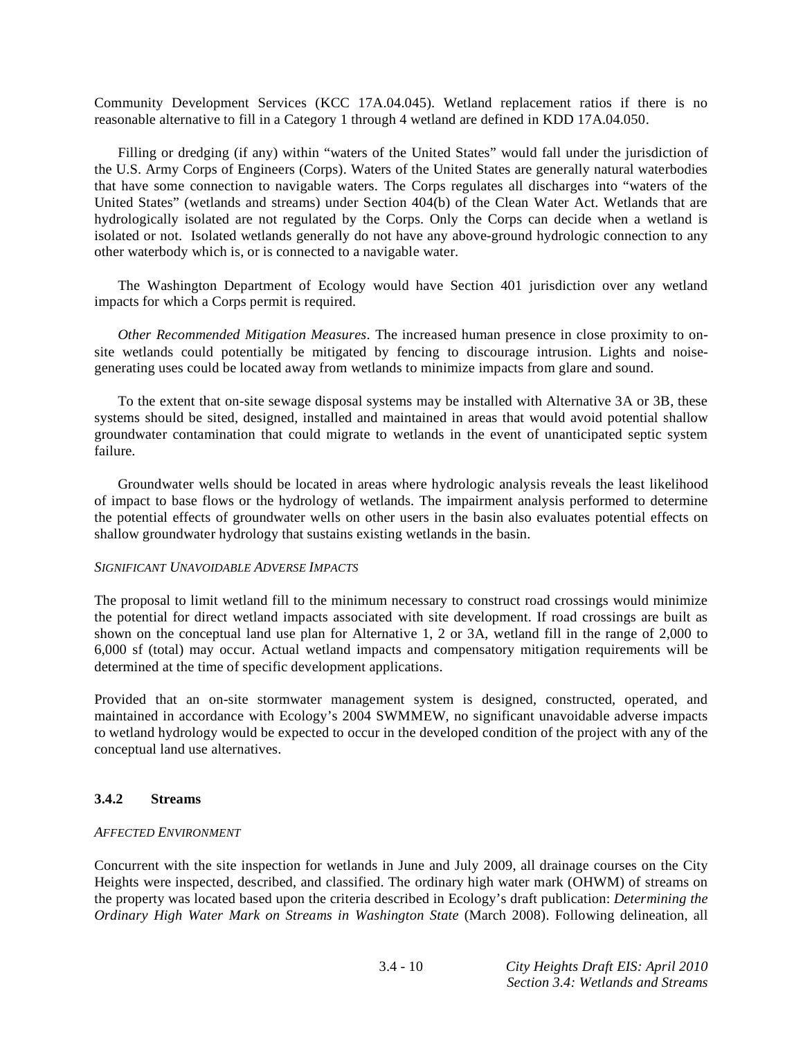Community Development Services (KCC 17A.04.045). Wetland replacement ratios if there is no reasonable alternative to fill in a Category 1 through 4 wetland are defined in KDD 17A.04.050.

 Filling or dredging (if any) within "waters of the United States" would fall under the jurisdiction of the U.S. Army Corps of Engineers (Corps). Waters of the United States are generally natural waterbodies that have some connection to navigable waters. The Corps regulates all discharges into "waters of the United States" (wetlands and streams) under Section 404(b) of the Clean Water Act. Wetlands that are hydrologically isolated are not regulated by the Corps. Only the Corps can decide when a wetland is isolated or not. Isolated wetlands generally do not have any above-ground hydrologic connection to any other waterbody which is, or is connected to a navigable water.

 The Washington Department of Ecology would have Section 401 jurisdiction over any wetland impacts for which a Corps permit is required.

*Other Recommended Mitigation Measures*. The increased human presence in close proximity to onsite wetlands could potentially be mitigated by fencing to discourage intrusion. Lights and noisegenerating uses could be located away from wetlands to minimize impacts from glare and sound.

 To the extent that on-site sewage disposal systems may be installed with Alternative 3A or 3B, these systems should be sited, designed, installed and maintained in areas that would avoid potential shallow groundwater contamination that could migrate to wetlands in the event of unanticipated septic system failure.

 Groundwater wells should be located in areas where hydrologic analysis reveals the least likelihood of impact to base flows or the hydrology of wetlands. The impairment analysis performed to determine the potential effects of groundwater wells on other users in the basin also evaluates potential effects on shallow groundwater hydrology that sustains existing wetlands in the basin.

#### *SIGNIFICANT UNAVOIDABLE ADVERSE IMPACTS*

The proposal to limit wetland fill to the minimum necessary to construct road crossings would minimize the potential for direct wetland impacts associated with site development. If road crossings are built as shown on the conceptual land use plan for Alternative 1, 2 or 3A, wetland fill in the range of 2,000 to 6,000 sf (total) may occur. Actual wetland impacts and compensatory mitigation requirements will be determined at the time of specific development applications.

Provided that an on-site stormwater management system is designed, constructed, operated, and maintained in accordance with Ecology's 2004 SWMMEW, no significant unavoidable adverse impacts to wetland hydrology would be expected to occur in the developed condition of the project with any of the conceptual land use alternatives.

### **3.4.2 Streams**

#### *AFFECTED ENVIRONMENT*

Concurrent with the site inspection for wetlands in June and July 2009, all drainage courses on the City Heights were inspected, described, and classified. The ordinary high water mark (OHWM) of streams on the property was located based upon the criteria described in Ecology's draft publication: *Determining the Ordinary High Water Mark on Streams in Washington State* (March 2008). Following delineation, all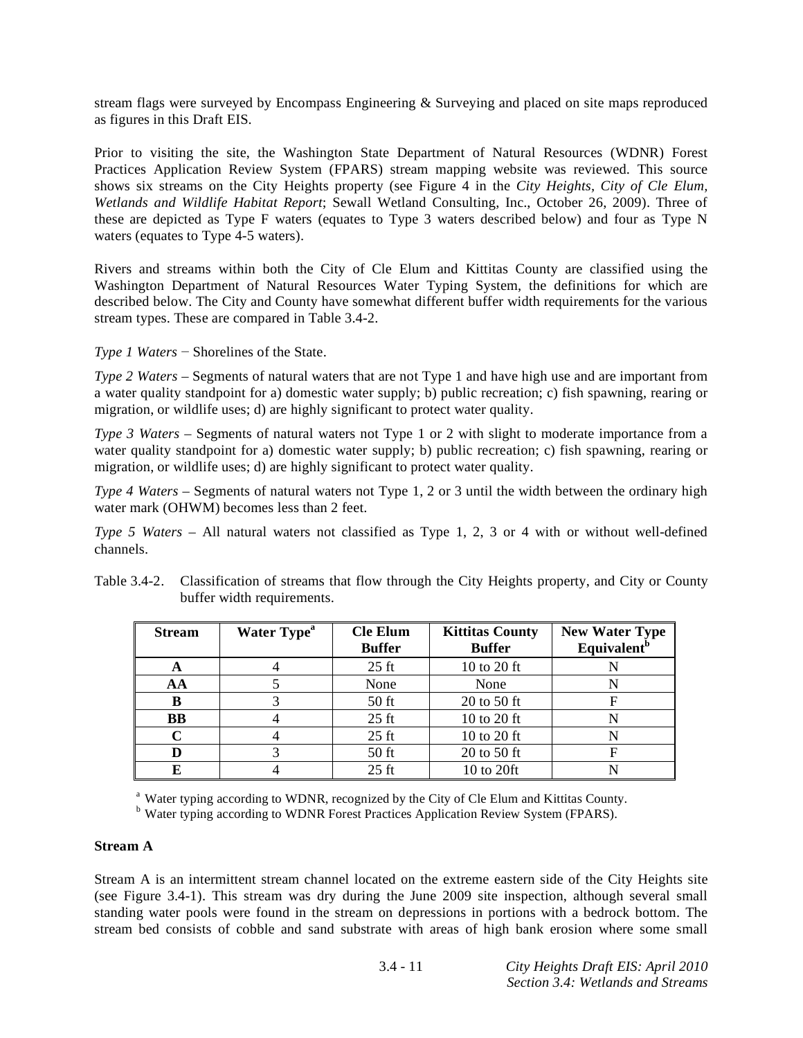stream flags were surveyed by Encompass Engineering & Surveying and placed on site maps reproduced as figures in this Draft EIS.

Prior to visiting the site, the Washington State Department of Natural Resources (WDNR) Forest Practices Application Review System (FPARS) stream mapping website was reviewed. This source shows six streams on the City Heights property (see Figure 4 in the *City Heights, City of Cle Elum, Wetlands and Wildlife Habitat Report*; Sewall Wetland Consulting, Inc., October 26, 2009). Three of these are depicted as Type F waters (equates to Type 3 waters described below) and four as Type N waters (equates to Type 4-5 waters).

Rivers and streams within both the City of Cle Elum and Kittitas County are classified using the Washington Department of Natural Resources Water Typing System, the definitions for which are described below. The City and County have somewhat different buffer width requirements for the various stream types. These are compared in Table 3.4-2.

*Type 1 Waters* – Shorelines of the State.

*Type 2 Waters* – Segments of natural waters that are not Type 1 and have high use and are important from a water quality standpoint for a) domestic water supply; b) public recreation; c) fish spawning, rearing or migration, or wildlife uses; d) are highly significant to protect water quality.

*Type 3 Waters* – Segments of natural waters not Type 1 or 2 with slight to moderate importance from a water quality standpoint for a) domestic water supply; b) public recreation; c) fish spawning, rearing or migration, or wildlife uses; d) are highly significant to protect water quality.

*Type 4 Waters* – Segments of natural waters not Type 1, 2 or 3 until the width between the ordinary high water mark (OHWM) becomes less than 2 feet.

*Type 5 Waters* – All natural waters not classified as Type 1, 2, 3 or 4 with or without well-defined channels.

| <b>Stream</b> | Water Type <sup>a</sup> | <b>Cle Elum</b><br><b>Buffer</b> | <b>Kittitas County</b><br><b>Buffer</b> | <b>New Water Type</b><br>Equivalent <sup>b</sup> |
|---------------|-------------------------|----------------------------------|-----------------------------------------|--------------------------------------------------|
| A             |                         | $25 \text{ ft}$                  | 10 to 20 ft                             |                                                  |
| AA            |                         | None                             | None                                    | N                                                |
| B             |                         | $50$ ft                          | 20 to 50 ft                             | F                                                |
| <b>BB</b>     |                         | $25$ ft                          | 10 to 20 ft                             | N                                                |
|               |                         | $25 \text{ ft}$                  | 10 to 20 ft                             | N                                                |
| D             |                         | $50$ ft                          | $20$ to $50$ ft                         | F                                                |
| E             |                         | $25$ ft                          | 10 to $20$ ft                           |                                                  |

Table 3.4-2. Classification of streams that flow through the City Heights property, and City or County buffer width requirements.

<sup>a</sup> Water typing according to WDNR, recognized by the City of Cle Elum and Kittitas County.

<sup>b</sup> Water typing according to WDNR Forest Practices Application Review System (FPARS).

### **Stream A**

Stream A is an intermittent stream channel located on the extreme eastern side of the City Heights site (see Figure 3.4-1). This stream was dry during the June 2009 site inspection, although several small standing water pools were found in the stream on depressions in portions with a bedrock bottom. The stream bed consists of cobble and sand substrate with areas of high bank erosion where some small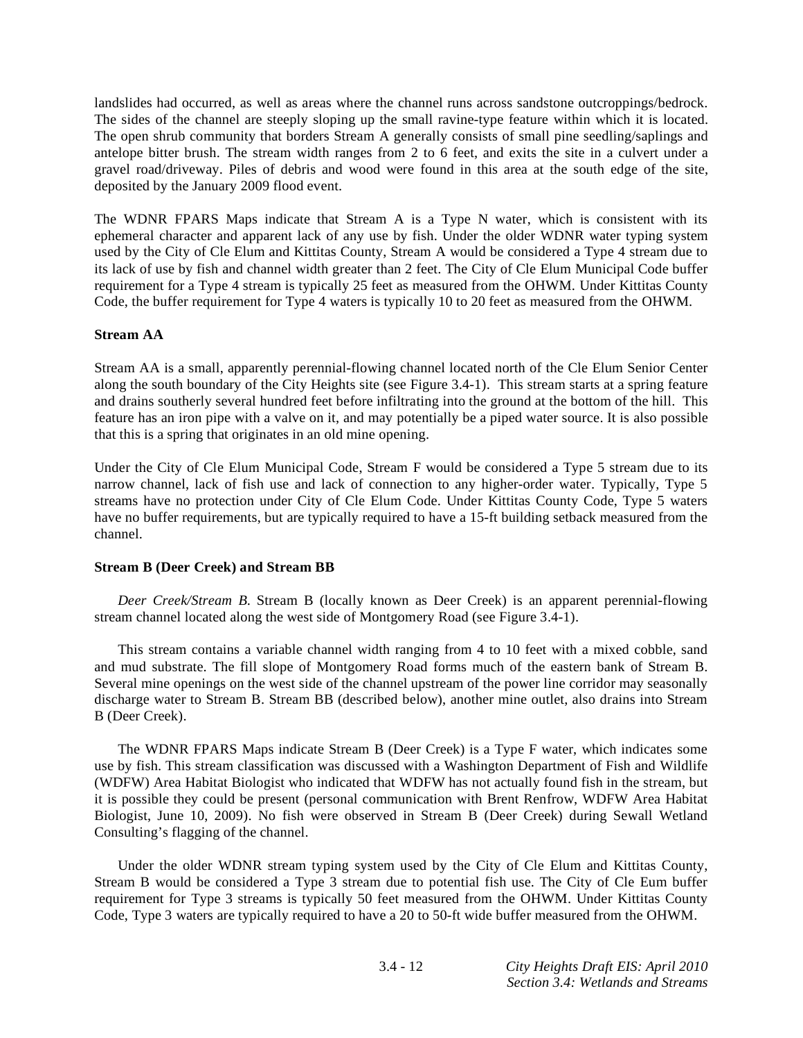landslides had occurred, as well as areas where the channel runs across sandstone outcroppings/bedrock. The sides of the channel are steeply sloping up the small ravine-type feature within which it is located. The open shrub community that borders Stream A generally consists of small pine seedling/saplings and antelope bitter brush. The stream width ranges from 2 to 6 feet, and exits the site in a culvert under a gravel road/driveway. Piles of debris and wood were found in this area at the south edge of the site, deposited by the January 2009 flood event.

The WDNR FPARS Maps indicate that Stream A is a Type N water, which is consistent with its ephemeral character and apparent lack of any use by fish. Under the older WDNR water typing system used by the City of Cle Elum and Kittitas County, Stream A would be considered a Type 4 stream due to its lack of use by fish and channel width greater than 2 feet. The City of Cle Elum Municipal Code buffer requirement for a Type 4 stream is typically 25 feet as measured from the OHWM. Under Kittitas County Code, the buffer requirement for Type 4 waters is typically 10 to 20 feet as measured from the OHWM.

### **Stream AA**

Stream AA is a small, apparently perennial-flowing channel located north of the Cle Elum Senior Center along the south boundary of the City Heights site (see Figure 3.4-1). This stream starts at a spring feature and drains southerly several hundred feet before infiltrating into the ground at the bottom of the hill. This feature has an iron pipe with a valve on it, and may potentially be a piped water source. It is also possible that this is a spring that originates in an old mine opening.

Under the City of Cle Elum Municipal Code, Stream F would be considered a Type 5 stream due to its narrow channel, lack of fish use and lack of connection to any higher-order water. Typically, Type 5 streams have no protection under City of Cle Elum Code. Under Kittitas County Code, Type 5 waters have no buffer requirements, but are typically required to have a 15-ft building setback measured from the channel.

### **Stream B (Deer Creek) and Stream BB**

*Deer Creek/Stream B*. Stream B (locally known as Deer Creek) is an apparent perennial-flowing stream channel located along the west side of Montgomery Road (see Figure 3.4-1).

 This stream contains a variable channel width ranging from 4 to 10 feet with a mixed cobble, sand and mud substrate. The fill slope of Montgomery Road forms much of the eastern bank of Stream B. Several mine openings on the west side of the channel upstream of the power line corridor may seasonally discharge water to Stream B. Stream BB (described below), another mine outlet, also drains into Stream B (Deer Creek).

 The WDNR FPARS Maps indicate Stream B (Deer Creek) is a Type F water, which indicates some use by fish. This stream classification was discussed with a Washington Department of Fish and Wildlife (WDFW) Area Habitat Biologist who indicated that WDFW has not actually found fish in the stream, but it is possible they could be present (personal communication with Brent Renfrow, WDFW Area Habitat Biologist, June 10, 2009). No fish were observed in Stream B (Deer Creek) during Sewall Wetland Consulting's flagging of the channel.

 Under the older WDNR stream typing system used by the City of Cle Elum and Kittitas County, Stream B would be considered a Type 3 stream due to potential fish use. The City of Cle Eum buffer requirement for Type 3 streams is typically 50 feet measured from the OHWM. Under Kittitas County Code, Type 3 waters are typically required to have a 20 to 50-ft wide buffer measured from the OHWM.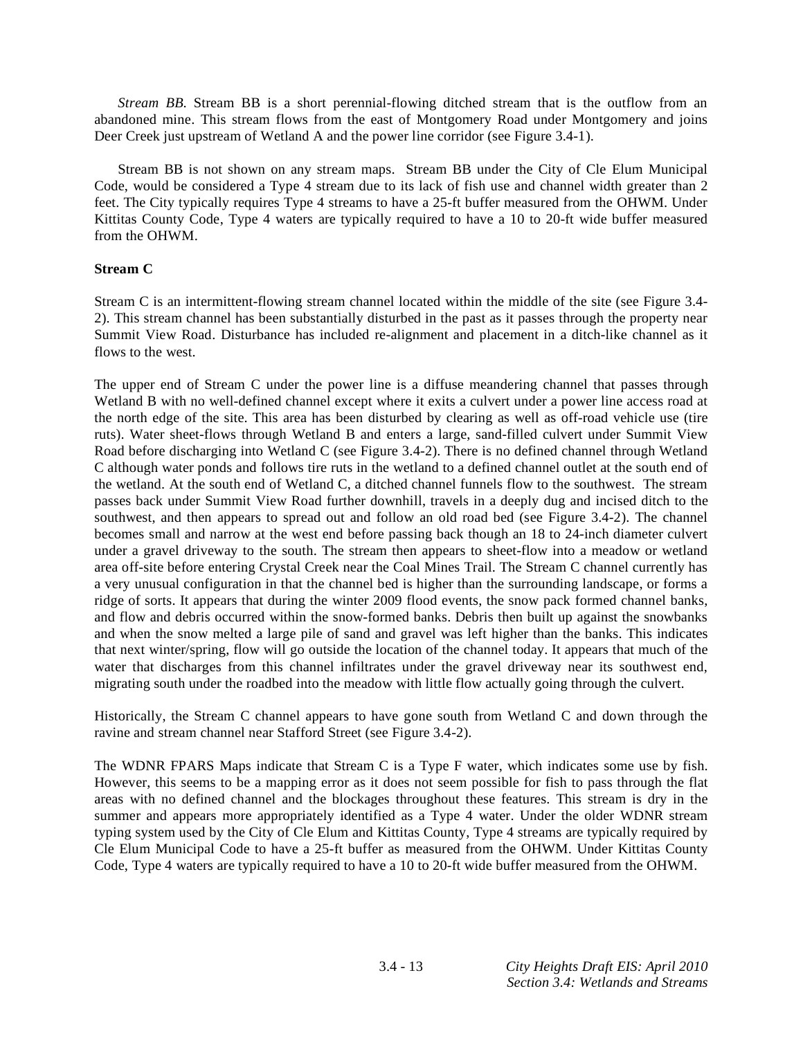*Stream BB*. Stream BB is a short perennial-flowing ditched stream that is the outflow from an abandoned mine. This stream flows from the east of Montgomery Road under Montgomery and joins Deer Creek just upstream of Wetland A and the power line corridor (see Figure 3.4-1).

 Stream BB is not shown on any stream maps. Stream BB under the City of Cle Elum Municipal Code, would be considered a Type 4 stream due to its lack of fish use and channel width greater than 2 feet. The City typically requires Type 4 streams to have a 25-ft buffer measured from the OHWM. Under Kittitas County Code, Type 4 waters are typically required to have a 10 to 20-ft wide buffer measured from the OHWM.

## **Stream C**

Stream C is an intermittent-flowing stream channel located within the middle of the site (see Figure 3.4- 2). This stream channel has been substantially disturbed in the past as it passes through the property near Summit View Road. Disturbance has included re-alignment and placement in a ditch-like channel as it flows to the west.

The upper end of Stream C under the power line is a diffuse meandering channel that passes through Wetland B with no well-defined channel except where it exits a culvert under a power line access road at the north edge of the site. This area has been disturbed by clearing as well as off-road vehicle use (tire ruts). Water sheet-flows through Wetland B and enters a large, sand-filled culvert under Summit View Road before discharging into Wetland C (see Figure 3.4-2). There is no defined channel through Wetland C although water ponds and follows tire ruts in the wetland to a defined channel outlet at the south end of the wetland. At the south end of Wetland C, a ditched channel funnels flow to the southwest. The stream passes back under Summit View Road further downhill, travels in a deeply dug and incised ditch to the southwest, and then appears to spread out and follow an old road bed (see Figure 3.4-2). The channel becomes small and narrow at the west end before passing back though an 18 to 24-inch diameter culvert under a gravel driveway to the south. The stream then appears to sheet-flow into a meadow or wetland area off-site before entering Crystal Creek near the Coal Mines Trail. The Stream C channel currently has a very unusual configuration in that the channel bed is higher than the surrounding landscape, or forms a ridge of sorts. It appears that during the winter 2009 flood events, the snow pack formed channel banks, and flow and debris occurred within the snow-formed banks. Debris then built up against the snowbanks and when the snow melted a large pile of sand and gravel was left higher than the banks. This indicates that next winter/spring, flow will go outside the location of the channel today. It appears that much of the water that discharges from this channel infiltrates under the gravel driveway near its southwest end, migrating south under the roadbed into the meadow with little flow actually going through the culvert.

Historically, the Stream C channel appears to have gone south from Wetland C and down through the ravine and stream channel near Stafford Street (see Figure 3.4-2).

The WDNR FPARS Maps indicate that Stream C is a Type F water, which indicates some use by fish. However, this seems to be a mapping error as it does not seem possible for fish to pass through the flat areas with no defined channel and the blockages throughout these features. This stream is dry in the summer and appears more appropriately identified as a Type 4 water. Under the older WDNR stream typing system used by the City of Cle Elum and Kittitas County, Type 4 streams are typically required by Cle Elum Municipal Code to have a 25-ft buffer as measured from the OHWM. Under Kittitas County Code, Type 4 waters are typically required to have a 10 to 20-ft wide buffer measured from the OHWM.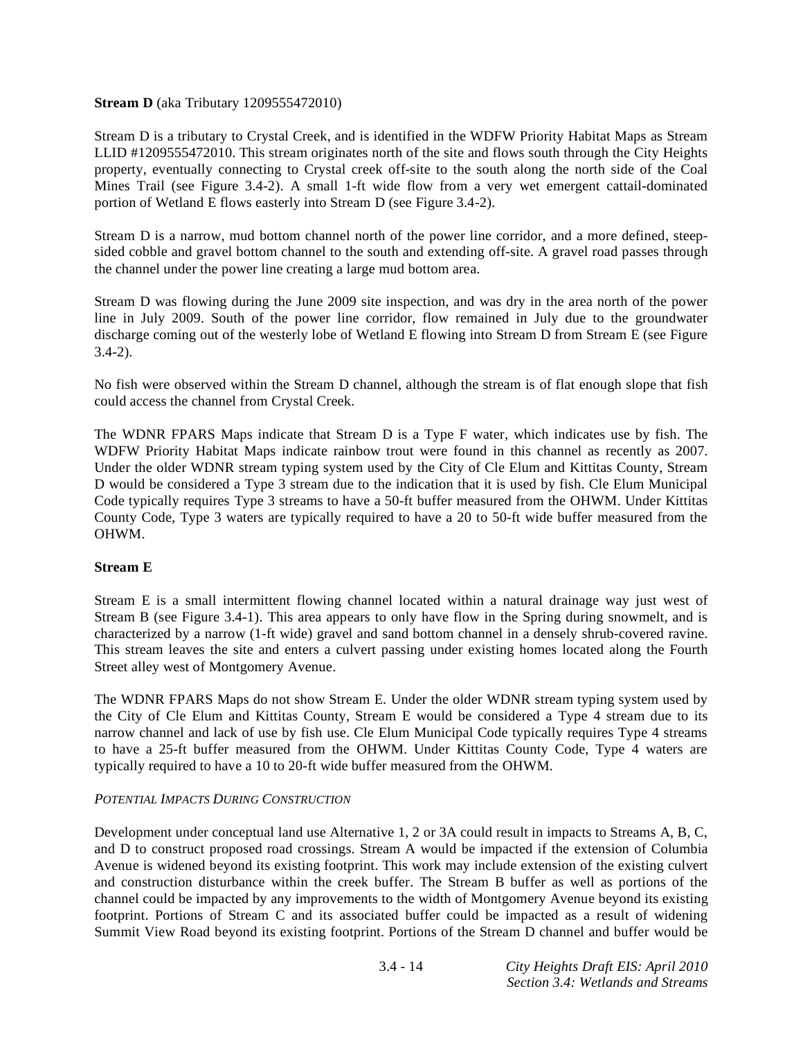### **Stream D** (aka Tributary 1209555472010)

Stream D is a tributary to Crystal Creek, and is identified in the WDFW Priority Habitat Maps as Stream LLID #1209555472010. This stream originates north of the site and flows south through the City Heights property, eventually connecting to Crystal creek off-site to the south along the north side of the Coal Mines Trail (see Figure 3.4-2). A small 1-ft wide flow from a very wet emergent cattail-dominated portion of Wetland E flows easterly into Stream D (see Figure 3.4-2).

Stream D is a narrow, mud bottom channel north of the power line corridor, and a more defined, steepsided cobble and gravel bottom channel to the south and extending off-site. A gravel road passes through the channel under the power line creating a large mud bottom area.

Stream D was flowing during the June 2009 site inspection, and was dry in the area north of the power line in July 2009. South of the power line corridor, flow remained in July due to the groundwater discharge coming out of the westerly lobe of Wetland E flowing into Stream D from Stream E (see Figure 3.4-2).

No fish were observed within the Stream D channel, although the stream is of flat enough slope that fish could access the channel from Crystal Creek.

The WDNR FPARS Maps indicate that Stream D is a Type F water, which indicates use by fish. The WDFW Priority Habitat Maps indicate rainbow trout were found in this channel as recently as 2007. Under the older WDNR stream typing system used by the City of Cle Elum and Kittitas County, Stream D would be considered a Type 3 stream due to the indication that it is used by fish. Cle Elum Municipal Code typically requires Type 3 streams to have a 50-ft buffer measured from the OHWM. Under Kittitas County Code, Type 3 waters are typically required to have a 20 to 50-ft wide buffer measured from the OHWM.

### **Stream E**

Stream E is a small intermittent flowing channel located within a natural drainage way just west of Stream B (see Figure 3.4-1). This area appears to only have flow in the Spring during snowmelt, and is characterized by a narrow (1-ft wide) gravel and sand bottom channel in a densely shrub-covered ravine. This stream leaves the site and enters a culvert passing under existing homes located along the Fourth Street alley west of Montgomery Avenue.

The WDNR FPARS Maps do not show Stream E. Under the older WDNR stream typing system used by the City of Cle Elum and Kittitas County, Stream E would be considered a Type 4 stream due to its narrow channel and lack of use by fish use. Cle Elum Municipal Code typically requires Type 4 streams to have a 25-ft buffer measured from the OHWM. Under Kittitas County Code, Type 4 waters are typically required to have a 10 to 20-ft wide buffer measured from the OHWM.

### *POTENTIAL IMPACTS DURING CONSTRUCTION*

Development under conceptual land use Alternative 1, 2 or 3A could result in impacts to Streams A, B, C, and D to construct proposed road crossings. Stream A would be impacted if the extension of Columbia Avenue is widened beyond its existing footprint. This work may include extension of the existing culvert and construction disturbance within the creek buffer. The Stream B buffer as well as portions of the channel could be impacted by any improvements to the width of Montgomery Avenue beyond its existing footprint. Portions of Stream C and its associated buffer could be impacted as a result of widening Summit View Road beyond its existing footprint. Portions of the Stream D channel and buffer would be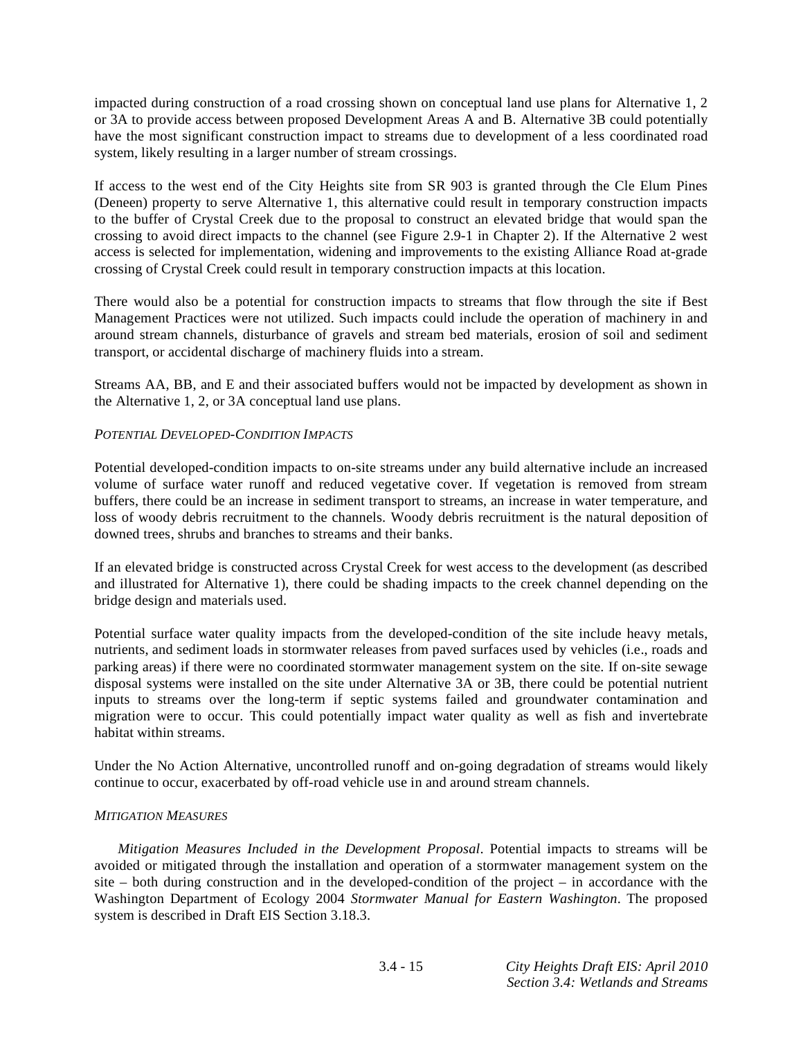impacted during construction of a road crossing shown on conceptual land use plans for Alternative 1, 2 or 3A to provide access between proposed Development Areas A and B. Alternative 3B could potentially have the most significant construction impact to streams due to development of a less coordinated road system, likely resulting in a larger number of stream crossings.

If access to the west end of the City Heights site from SR 903 is granted through the Cle Elum Pines (Deneen) property to serve Alternative 1, this alternative could result in temporary construction impacts to the buffer of Crystal Creek due to the proposal to construct an elevated bridge that would span the crossing to avoid direct impacts to the channel (see Figure 2.9-1 in Chapter 2). If the Alternative 2 west access is selected for implementation, widening and improvements to the existing Alliance Road at-grade crossing of Crystal Creek could result in temporary construction impacts at this location.

There would also be a potential for construction impacts to streams that flow through the site if Best Management Practices were not utilized. Such impacts could include the operation of machinery in and around stream channels, disturbance of gravels and stream bed materials, erosion of soil and sediment transport, or accidental discharge of machinery fluids into a stream.

Streams AA, BB, and E and their associated buffers would not be impacted by development as shown in the Alternative 1, 2, or 3A conceptual land use plans.

### *POTENTIAL DEVELOPED-CONDITION IMPACTS*

Potential developed-condition impacts to on-site streams under any build alternative include an increased volume of surface water runoff and reduced vegetative cover. If vegetation is removed from stream buffers, there could be an increase in sediment transport to streams, an increase in water temperature, and loss of woody debris recruitment to the channels. Woody debris recruitment is the natural deposition of downed trees, shrubs and branches to streams and their banks.

If an elevated bridge is constructed across Crystal Creek for west access to the development (as described and illustrated for Alternative 1), there could be shading impacts to the creek channel depending on the bridge design and materials used.

Potential surface water quality impacts from the developed-condition of the site include heavy metals, nutrients, and sediment loads in stormwater releases from paved surfaces used by vehicles (i.e., roads and parking areas) if there were no coordinated stormwater management system on the site. If on-site sewage disposal systems were installed on the site under Alternative 3A or 3B, there could be potential nutrient inputs to streams over the long-term if septic systems failed and groundwater contamination and migration were to occur. This could potentially impact water quality as well as fish and invertebrate habitat within streams.

Under the No Action Alternative, uncontrolled runoff and on-going degradation of streams would likely continue to occur, exacerbated by off-road vehicle use in and around stream channels.

### *MITIGATION MEASURES*

*Mitigation Measures Included in the Development Proposal*. Potential impacts to streams will be avoided or mitigated through the installation and operation of a stormwater management system on the site – both during construction and in the developed-condition of the project – in accordance with the Washington Department of Ecology 2004 *Stormwater Manual for Eastern Washington*. The proposed system is described in Draft EIS Section 3.18.3.